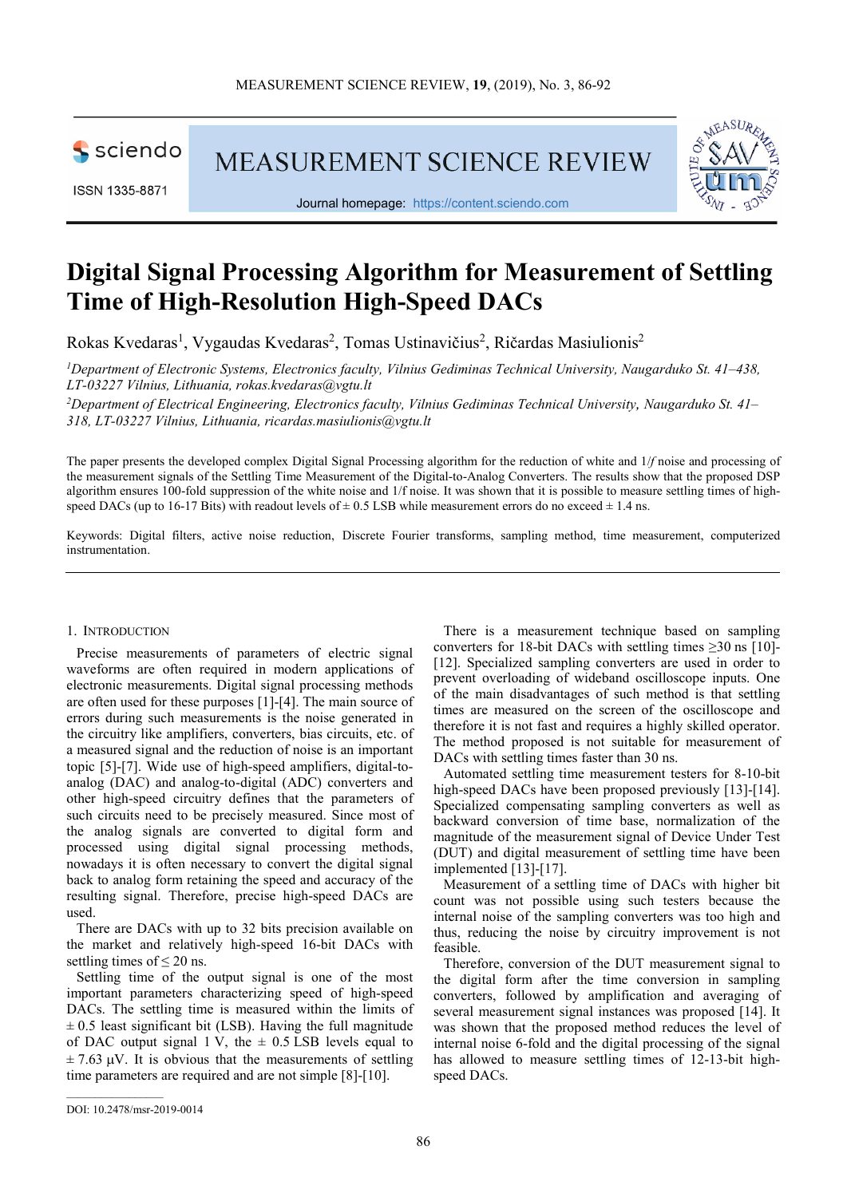

ISSN 1335-8871

**MEASUREMENT SCIENCE REVIEW** 



Journal homepage: https://content.sciendo.com

## **Digital Signal Processing Algorithm for Measurement of Settling Time of High-Resolution High-Speed DACs**

Rokas Kvedaras<sup>1</sup>, Vygaudas Kvedaras<sup>2</sup>, Tomas Ustinavičius<sup>2</sup>, Ričardas Masiulionis<sup>2</sup>

*<sup>1</sup>Department of Electronic Systems, Electronics faculty, Vilnius Gediminas Technical University, Naugarduko St. 41–438, LT-03227 Vilnius, Lithuania, rokas.kvedaras@vgtu.lt*

*<sup>2</sup>Department of Electrical Engineering, Electronics faculty, Vilnius Gediminas Technical University, Naugarduko St. 41– 318, LT-03227 Vilnius, Lithuania, ricardas.masiulionis@vgtu.lt* 

The paper presents the developed complex Digital Signal Processing algorithm for the reduction of white and 1/*f* noise and processing of the measurement signals of the Settling Time Measurement of the Digital-to-Analog Converters. The results show that the proposed DSP algorithm ensures 100-fold suppression of the white noise and 1/f noise. It was shown that it is possible to measure settling times of highspeed DACs (up to 16-17 Bits) with readout levels of  $\pm$  0.5 LSB while measurement errors do no exceed  $\pm$  1.4 ns.

Keywords: Digital filters, active noise reduction, Discrete Fourier transforms, sampling method, time measurement, computerized instrumentation.

## 1. INTRODUCTION

Precise measurements of parameters of electric signal waveforms are often required in modern applications of electronic measurements. Digital signal processing methods are often used for these purposes [1]-[4]. The main source of errors during such measurements is the noise generated in the circuitry like amplifiers, converters, bias circuits, etc. of a measured signal and the reduction of noise is an important topic [5]-[7]. Wide use of high-speed amplifiers, digital-toanalog (DAC) and analog-to-digital (ADC) converters and other high-speed circuitry defines that the parameters of such circuits need to be precisely measured. Since most of the analog signals are converted to digital form and processed using digital signal processing methods, nowadays it is often necessary to convert the digital signal back to analog form retaining the speed and accuracy of the resulting signal. Therefore, precise high-speed DACs are used.

There are DACs with up to 32 bits precision available on the market and relatively high-speed 16-bit DACs with settling times of  $\leq 20$  ns.

Settling time of the output signal is one of the most important parameters characterizing speed of high-speed DACs. The settling time is measured within the limits of  $\pm$  0.5 least significant bit (LSB). Having the full magnitude of DAC output signal 1 V, the  $\pm$  0.5 LSB levels equal to  $\pm$  7.63  $\mu$ V. It is obvious that the measurements of settling time parameters are required and are not simple [8]-[10].

There is a measurement technique based on sampling converters for 18-bit DACs with settling times  $\geq 30$  ns [10]-[12]. Specialized sampling converters are used in order to prevent overloading of wideband oscilloscope inputs. One of the main disadvantages of such method is that settling times are measured on the screen of the oscilloscope and therefore it is not fast and requires a highly skilled operator. The method proposed is not suitable for measurement of DACs with settling times faster than 30 ns.

Automated settling time measurement testers for 8-10-bit high-speed DACs have been proposed previously [13]-[14]. Specialized compensating sampling converters as well as backward conversion of time base, normalization of the magnitude of the measurement signal of Device Under Test (DUT) and digital measurement of settling time have been implemented [13]-[17].

Measurement of a settling time of DACs with higher bit count was not possible using such testers because the internal noise of the sampling converters was too high and thus, reducing the noise by circuitry improvement is not feasible.

Therefore, conversion of the DUT measurement signal to the digital form after the time conversion in sampling converters, followed by amplification and averaging of several measurement signal instances was proposed [14]. It was shown that the proposed method reduces the level of internal noise 6-fold and the digital processing of the signal has allowed to measure settling times of 12-13-bit highspeed DACs.

DOI: 10.2478/msr-2019-0014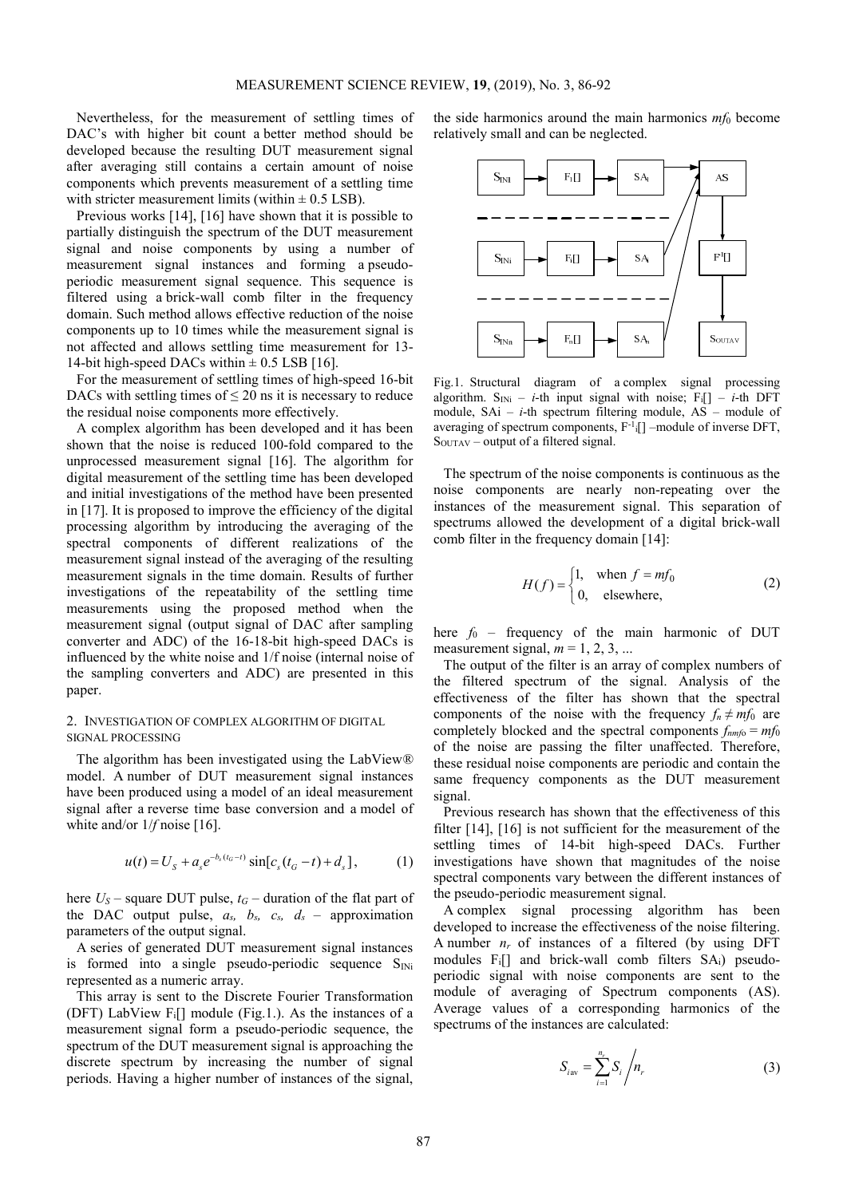Nevertheless, for the measurement of settling times of DAC's with higher bit count a better method should be developed because the resulting DUT measurement signal after averaging still contains a certain amount of noise components which prevents measurement of a settling time with stricter measurement limits (within  $\pm$  0.5 LSB).

Previous works [14], [16] have shown that it is possible to partially distinguish the spectrum of the DUT measurement signal and noise components by using a number of measurement signal instances and forming a pseudoperiodic measurement signal sequence. This sequence is filtered using a brick-wall comb filter in the frequency domain. Such method allows effective reduction of the noise components up to 10 times while the measurement signal is not affected and allows settling time measurement for 13- 14-bit high-speed DACs within  $\pm$  0.5 LSB [16].

For the measurement of settling times of high-speed 16-bit DACs with settling times of  $\leq 20$  ns it is necessary to reduce the residual noise components more effectively.

A complex algorithm has been developed and it has been shown that the noise is reduced 100-fold compared to the unprocessed measurement signal [16]. The algorithm for digital measurement of the settling time has been developed and initial investigations of the method have been presented in [17]. It is proposed to improve the efficiency of the digital processing algorithm by introducing the averaging of the spectral components of different realizations of the measurement signal instead of the averaging of the resulting measurement signals in the time domain. Results of further investigations of the repeatability of the settling time measurements using the proposed method when the measurement signal (output signal of DAC after sampling converter and ADC) of the 16-18-bit high-speed DACs is influenced by the white noise and 1/f noise (internal noise of the sampling converters and ADC) are presented in this paper.

## 2. INVESTIGATION OF COMPLEX ALGORITHM OF DIGITAL SIGNAL PROCESSING

The algorithm has been investigated using the LabView*®*  model. A number of DUT measurement signal instances have been produced using a model of an ideal measurement signal after a reverse time base conversion and a model of white and/or  $1/f$  noise [16].

$$
u(t) = U_s + a_s e^{-b_s(t_G - t)} \sin[c_s(t_G - t) + d_s],
$$
 (1)

here  $U_s$  – square DUT pulse,  $t_G$  – duration of the flat part of the DAC output pulse,  $a_s$ ,  $b_s$ ,  $c_s$ ,  $d_s$  – approximation parameters of the output signal.

A series of generated DUT measurement signal instances is formed into a single pseudo-periodic sequence  $S_{\text{INI}}$ represented as a numeric array.

This array is sent to the Discrete Fourier Transformation (DFT) LabView  $F_i$ [] module (Fig.1.). As the instances of a measurement signal form a pseudo-periodic sequence, the spectrum of the DUT measurement signal is approaching the discrete spectrum by increasing the number of signal periods. Having a higher number of instances of the signal,

the side harmonics around the main harmonics  $m f_0$  become relatively small and can be neglected.



Fig.1. Structural diagram of a complex signal processing algorithm. S<sub>INi</sub> – *i*-th input signal with noise;  $F_i$ [] – *i*-th DFT module, SAi – *i*-th spectrum filtering module, AS – module of averaging of spectrum components,  $F^{-1}[]$  –module of inverse DFT, SOUTAV – output of a filtered signal.

The spectrum of the noise components is continuous as the noise components are nearly non-repeating over the instances of the measurement signal. This separation of spectrums allowed the development of a digital brick-wall comb filter in the frequency domain [14]:

$$
H(f) = \begin{cases} 1, & \text{when } f = mf_0 \\ 0, & \text{elsewhere,} \end{cases}
$$
 (2)

here  $f_0$  – frequency of the main harmonic of DUT measurement signal,  $m = 1, 2, 3, ...$ 

The output of the filter is an array of complex numbers of the filtered spectrum of the signal. Analysis of the effectiveness of the filter has shown that the spectral components of the noise with the frequency  $f_n \neq mf_0$  are completely blocked and the spectral components  $f_{nmf0} = mf_0$ of the noise are passing the filter unaffected. Therefore, these residual noise components are periodic and contain the same frequency components as the DUT measurement signal.

Previous research has shown that the effectiveness of this filter [14], [16] is not sufficient for the measurement of the settling times of 14-bit high-speed DACs. Further investigations have shown that magnitudes of the noise spectral components vary between the different instances of the pseudo-periodic measurement signal.

A complex signal processing algorithm has been developed to increase the effectiveness of the noise filtering. A number  $n_r$  of instances of a filtered (by using DFT modules Fi[] and brick-wall comb filters SAi) pseudoperiodic signal with noise components are sent to the module of averaging of Spectrum components (AS). Average values of a corresponding harmonics of the spectrums of the instances are calculated:

$$
S_{i\text{av}} = \sum_{i=1}^{n_r} S_i / n_r \tag{3}
$$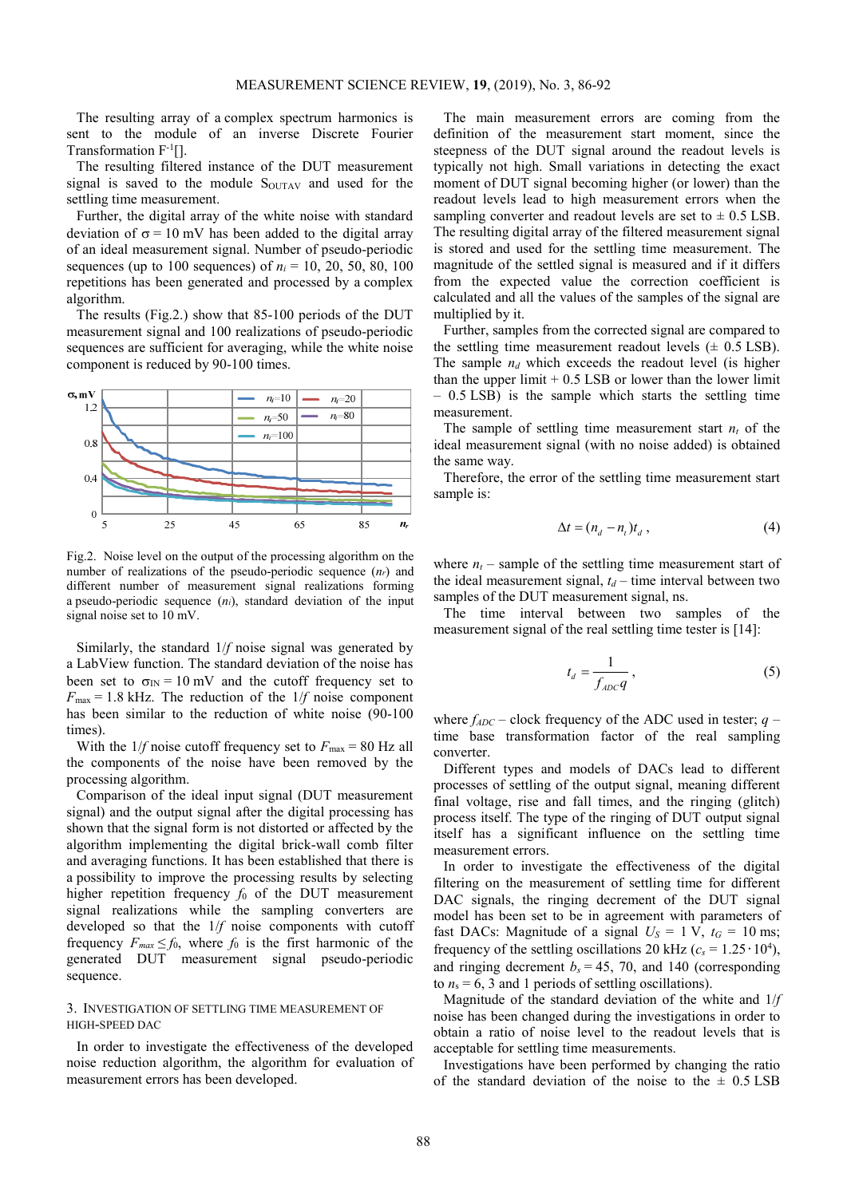The resulting array of a complex spectrum harmonics is sent to the module of an inverse Discrete Fourier Transformation F-1[].

The resulting filtered instance of the DUT measurement signal is saved to the module  $S<sub>OUTAV</sub>$  and used for the settling time measurement.

Further, the digital array of the white noise with standard deviation of  $\sigma = 10$  mV has been added to the digital array of an ideal measurement signal. Number of pseudo-periodic sequences (up to 100 sequences) of  $n_i = 10, 20, 50, 80, 100$ repetitions has been generated and processed by a complex algorithm.

The results (Fig.2.) show that 85-100 periods of the DUT measurement signal and 100 realizations of pseudo-periodic sequences are sufficient for averaging, while the white noise component is reduced by 90-100 times.



Fig.2. Noise level on the output of the processing algorithm on the number of realizations of the pseudo-periodic sequence (*nr*) and different number of measurement signal realizations forming a pseudo-periodic sequence (*ni*), standard deviation of the input signal noise set to 10 mV.

Similarly, the standard 1/*f* noise signal was generated by a LabView function. The standard deviation of the noise has been set to  $\sigma$ <sub>IN</sub> = 10 mV and the cutoff frequency set to  $F_{\text{max}} = 1.8$  kHz. The reduction of the  $1/f$  noise component has been similar to the reduction of white noise (90-100 times).

With the  $1/f$  noise cutoff frequency set to  $F_{\text{max}} = 80 \text{ Hz all}$ the components of the noise have been removed by the processing algorithm.

Comparison of the ideal input signal (DUT measurement signal) and the output signal after the digital processing has shown that the signal form is not distorted or affected by the algorithm implementing the digital brick-wall comb filter and averaging functions. It has been established that there is a possibility to improve the processing results by selecting higher repetition frequency  $f_0$  of the DUT measurement signal realizations while the sampling converters are developed so that the 1/*f* noise components with cutoff frequency  $F_{max} \le f_0$ , where  $f_0$  is the first harmonic of the generated DUT measurement signal pseudo-periodic sequence.

## 3. INVESTIGATION OF SETTLING TIME MEASUREMENT OF HIGH-SPEED DAC

In order to investigate the effectiveness of the developed noise reduction algorithm, the algorithm for evaluation of measurement errors has been developed.

The main measurement errors are coming from the definition of the measurement start moment, since the steepness of the DUT signal around the readout levels is typically not high. Small variations in detecting the exact moment of DUT signal becoming higher (or lower) than the readout levels lead to high measurement errors when the sampling converter and readout levels are set to  $\pm$  0.5 LSB. The resulting digital array of the filtered measurement signal is stored and used for the settling time measurement. The magnitude of the settled signal is measured and if it differs from the expected value the correction coefficient is calculated and all the values of the samples of the signal are multiplied by it.

Further, samples from the corrected signal are compared to the settling time measurement readout levels  $(\pm 0.5 \text{ LSB})$ . The sample  $n_d$  which exceeds the readout level (is higher than the upper  $\lim_{x \to 0.5}$  LSB or lower than the lower limit – 0.5 LSB) is the sample which starts the settling time measurement.

The sample of settling time measurement start  $n_t$  of the ideal measurement signal (with no noise added) is obtained the same way.

Therefore, the error of the settling time measurement start sample is:

$$
\Delta t = (n_d - n_t)t_d , \qquad (4)
$$

where  $n_t$  – sample of the settling time measurement start of the ideal measurement signal,  $t_d$  – time interval between two samples of the DUT measurement signal, ns.

The time interval between two samples of the measurement signal of the real settling time tester is [14]:

$$
t_d = \frac{1}{f_{ADC}q},\tag{5}
$$

where  $f_{ADC}$  – clock frequency of the ADC used in tester;  $q$  – time base transformation factor of the real sampling converter.

Different types and models of DACs lead to different processes of settling of the output signal, meaning different final voltage, rise and fall times, and the ringing (glitch) process itself. The type of the ringing of DUT output signal itself has a significant influence on the settling time measurement errors.

In order to investigate the effectiveness of the digital filtering on the measurement of settling time for different DAC signals, the ringing decrement of the DUT signal model has been set to be in agreement with parameters of fast DACs: Magnitude of a signal  $U_s = 1$  V,  $t_G = 10$  ms; frequency of the settling oscillations 20 kHz ( $c_s = 1.25 \cdot 10^4$ ), and ringing decrement  $b<sub>s</sub> = 45$ , 70, and 140 (corresponding to  $n_s = 6$ , 3 and 1 periods of settling oscillations).

Magnitude of the standard deviation of the white and 1/*f* noise has been changed during the investigations in order to obtain a ratio of noise level to the readout levels that is acceptable for settling time measurements.

Investigations have been performed by changing the ratio of the standard deviation of the noise to the  $\pm$  0.5 LSB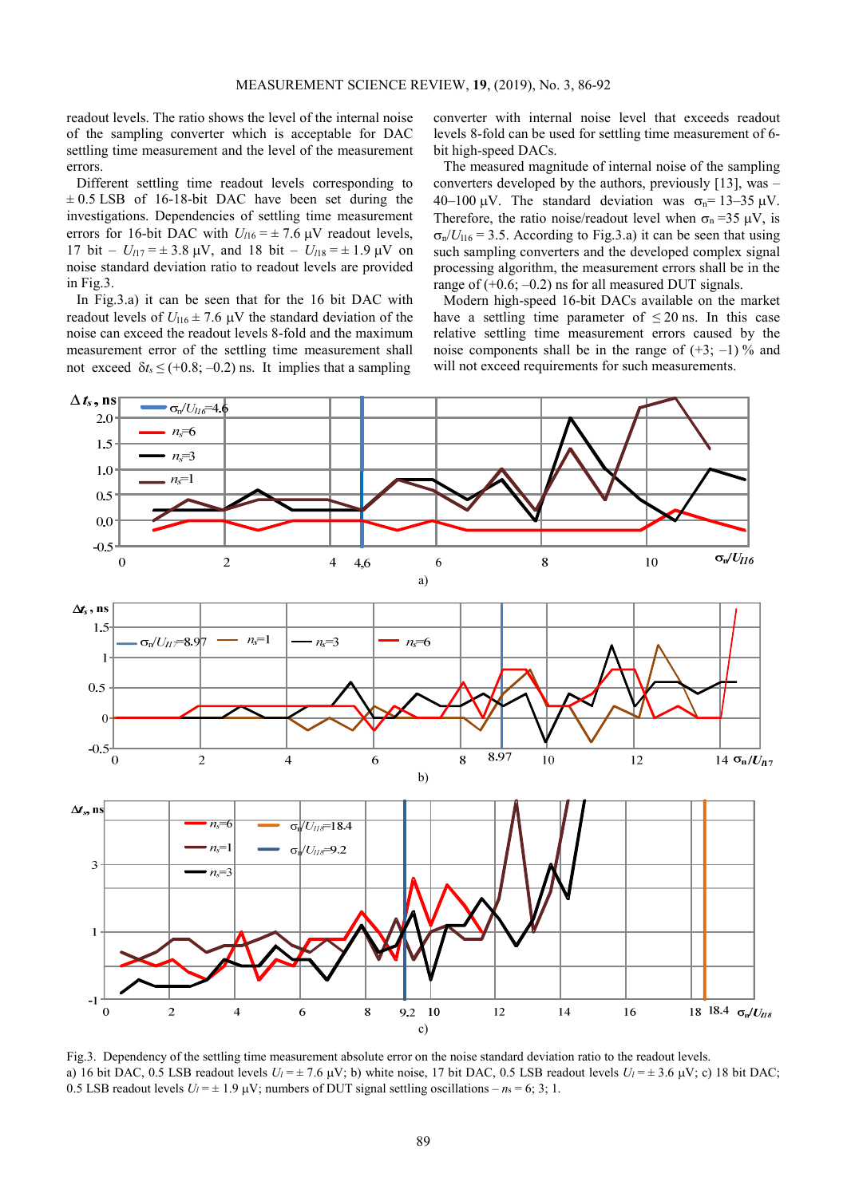readout levels. The ratio shows the level of the internal noise of the sampling converter which is acceptable for DAC settling time measurement and the level of the measurement errors.

Different settling time readout levels corresponding to  $\pm$  0.5 LSB of 16-18-bit DAC have been set during the investigations. Dependencies of settling time measurement errors for 16-bit DAC with  $U_{116} = \pm 7.6$   $\mu$ V readout levels, 17 bit –  $U_{117} = \pm 3.8 \text{ }\mu\text{V}$ , and 18 bit –  $U_{118} = \pm 1.9 \text{ }\mu\text{V}$  on noise standard deviation ratio to readout levels are provided in Fig.3.

In Fig.3.a) it can be seen that for the 16 bit DAC with readout levels of  $U_{116} \pm 7.6 \, \mu\text{V}$  the standard deviation of the noise can exceed the readout levels 8-fold and the maximum measurement error of the settling time measurement shall not exceed  $\delta t$ <sub>s</sub>  $\leq$  (+0.8; –0.2) ns. It implies that a sampling

converter with internal noise level that exceeds readout levels 8-fold can be used for settling time measurement of 6 bit high-speed DACs.

The measured magnitude of internal noise of the sampling converters developed by the authors, previously [13], was – 40–100  $\mu$ V. The standard deviation was  $\sigma_n = 13-35 \mu$ V. Therefore, the ratio noise/readout level when  $\sigma_n = 35 \mu V$ , is  $\sigma_p/U_{116} = 3.5$ . According to Fig.3.a) it can be seen that using such sampling converters and the developed complex signal processing algorithm, the measurement errors shall be in the range of  $(+0.6; -0.2)$  ns for all measured DUT signals.

Modern high-speed 16-bit DACs available on the market have a settling time parameter of  $\leq 20$  ns. In this case relative settling time measurement errors caused by the noise components shall be in the range of  $(+3; -1)$ % and will not exceed requirements for such measurements.



Fig.3. Dependency of the settling time measurement absolute error on the noise standard deviation ratio to the readout levels. a) 16 bit DAC, 0.5 LSB readout levels  $U_l = \pm 7.6 \mu V$ ; b) white noise, 17 bit DAC, 0.5 LSB readout levels  $U_l = \pm 3.6 \mu V$ ; c) 18 bit DAC; 0.5 LSB readout levels  $U_l = \pm 1.9 \mu V$ ; numbers of DUT signal settling oscillations –  $n_s = 6$ ; 3; 1.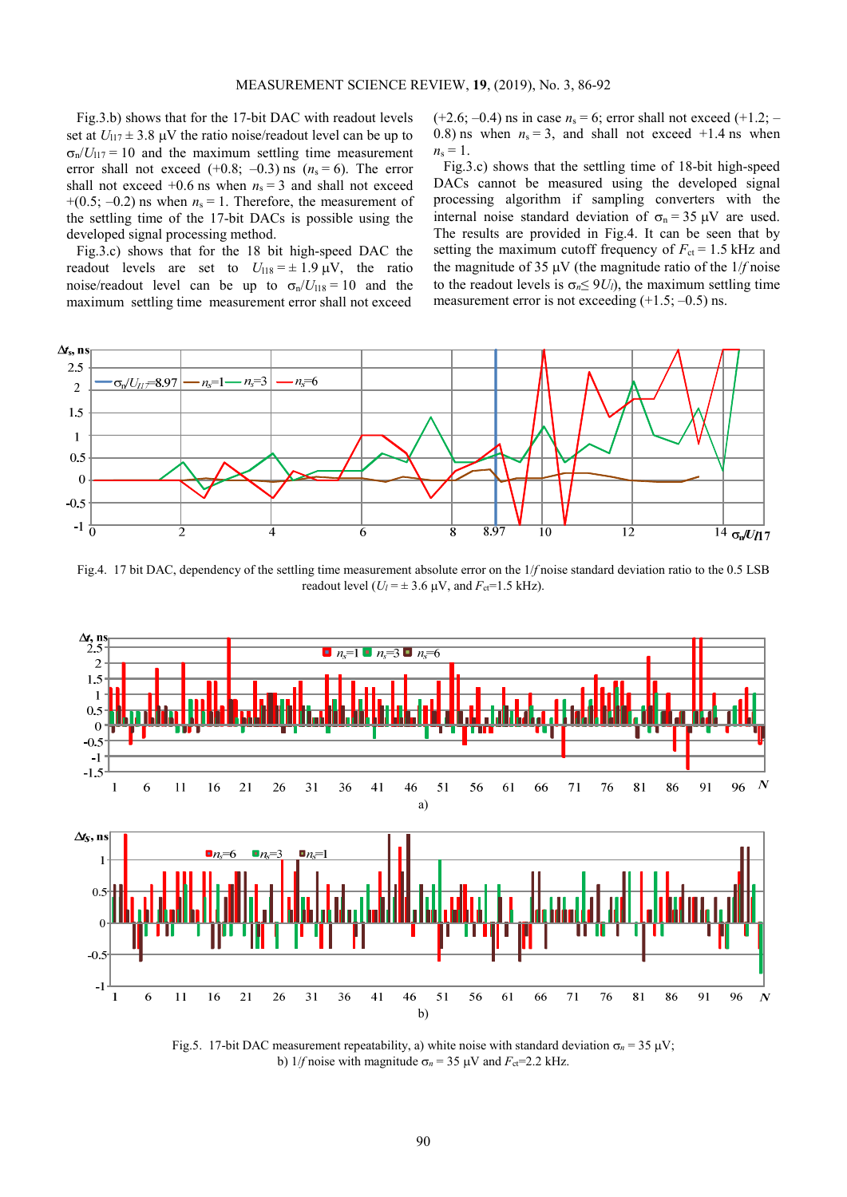Fig.3.b) shows that for the 17-bit DAC with readout levels set at  $U_{117} \pm 3.8 \, \mu\text{V}$  the ratio noise/readout level can be up to  $\sigma_p/U_{117} = 10$  and the maximum settling time measurement error shall not exceed  $(+0.8; -0.3)$  ns  $(n_s = 6)$ . The error shall not exceed  $+0.6$  ns when  $n_s = 3$  and shall not exceed  $+(0.5; -0.2)$  ns when  $n_s = 1$ . Therefore, the measurement of the settling time of the 17-bit DACs is possible using the developed signal processing method.

Fig.3.c) shows that for the 18 bit high-speed DAC the readout levels are set to  $U_{118} = \pm 1.9 \,\mu\text{V}$ , the ratio noise/readout level can be up to  $\sigma_{n}/U_{118} = 10$  and the maximum settling time measurement error shall not exceed

 $(+2.6; -0.4)$  ns in case  $n_s = 6$ ; error shall not exceed  $(+1.2; -$ 0.8) ns when  $n_s = 3$ , and shall not exceed  $+1.4$  ns when  $n_{\rm s} = 1$ .

Fig.3.c) shows that the settling time of 18-bit high-speed DACs cannot be measured using the developed signal processing algorithm if sampling converters with the internal noise standard deviation of  $\sigma_n = 35 \mu V$  are used. The results are provided in Fig.4. It can be seen that by setting the maximum cutoff frequency of  $F_{ct} = 1.5$  kHz and the magnitude of 35  $\mu$ V (the magnitude ratio of the  $1/f$  noise to the readout levels is  $\sigma_n \leq 9U_l$ , the maximum settling time measurement error is not exceeding  $(+1.5; -0.5)$  ns.



Fig.4. 17 bit DAC, dependency of the settling time measurement absolute error on the 1/*f* noise standard deviation ratio to the 0.5 LSB readout level ( $U_l$  =  $\pm$  3.6  $\mu$ V, and  $F_{ct}$ =1.5 kHz).



Fig.5. 17-bit DAC measurement repeatability, a) white noise with standard deviation  $\sigma_n = 35 \text{ }\mu\text{V}$ ; b) 1/*f* noise with magnitude  $\sigma_n$  = 35  $\mu$ V and  $F_{\text{ct}}$ =2.2 kHz.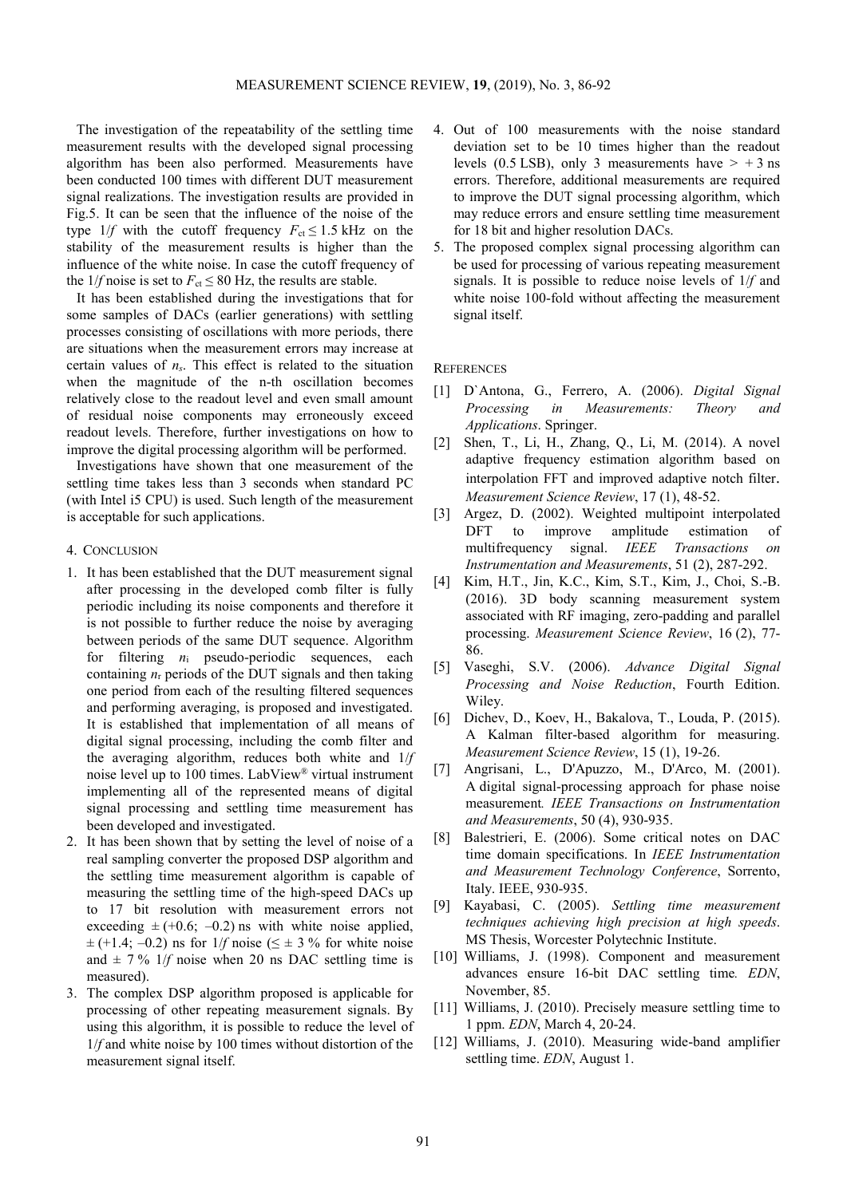The investigation of the repeatability of the settling time measurement results with the developed signal processing algorithm has been also performed. Measurements have been conducted 100 times with different DUT measurement signal realizations. The investigation results are provided in Fig.5. It can be seen that the influence of the noise of the type  $1/f$  with the cutoff frequency  $F_{ct} \le 1.5$  kHz on the stability of the measurement results is higher than the influence of the white noise. In case the cutoff frequency of the 1/*f* noise is set to  $F_{ct} \leq 80$  Hz, the results are stable.

It has been established during the investigations that for some samples of DACs (earlier generations) with settling processes consisting of oscillations with more periods, there are situations when the measurement errors may increase at certain values of *ns*. This effect is related to the situation when the magnitude of the n-th oscillation becomes relatively close to the readout level and even small amount of residual noise components may erroneously exceed readout levels. Therefore, further investigations on how to improve the digital processing algorithm will be performed.

Investigations have shown that one measurement of the settling time takes less than 3 seconds when standard PC (with Intel i5 CPU) is used. Such length of the measurement is acceptable for such applications.

- 4. CONCLUSION
- 1. It has been established that the DUT measurement signal after processing in the developed comb filter is fully periodic including its noise components and therefore it is not possible to further reduce the noise by averaging between periods of the same DUT sequence. Algorithm for filtering *n*<sup>i</sup> pseudo-periodic sequences, each containing  $n_r$  periods of the DUT signals and then taking one period from each of the resulting filtered sequences and performing averaging, is proposed and investigated. It is established that implementation of all means of digital signal processing, including the comb filter and the averaging algorithm, reduces both white and 1/*f* noise level up to 100 times. LabView*®* virtual instrument implementing all of the represented means of digital signal processing and settling time measurement has been developed and investigated.
- It has been shown that by setting the level of noise of a real sampling converter the proposed DSP algorithm and the settling time measurement algorithm is capable of measuring the settling time of the high-speed DACs up to 17 bit resolution with measurement errors not exceeding  $\pm (+0.6; -0.2)$  ns with white noise applied,  $\pm$  (+1.4; –0.2) ns for 1/*f* noise ( $\leq \pm 3$  % for white noise and  $\pm$  7 % 1/*f* noise when 20 ns DAC settling time is measured).
- 3. The complex DSP algorithm proposed is applicable for processing of other repeating measurement signals. By using this algorithm, it is possible to reduce the level of 1/*f* and white noise by 100 times without distortion of the measurement signal itself.
- 4. Out of 100 measurements with the noise standard deviation set to be 10 times higher than the readout levels (0.5 LSB), only 3 measurements have  $> +3$  ns errors. Therefore, additional measurements are required to improve the DUT signal processing algorithm, which may reduce errors and ensure settling time measurement for 18 bit and higher resolution DACs.
- 5. The proposed complex signal processing algorithm can be used for processing of various repeating measurement signals. It is possible to reduce noise levels of 1/*f* and white noise 100-fold without affecting the measurement signal itself.

**REFERENCES** 

- [1] D`Antona, G., Ferrero, A. (2006). *Digital Signal Processing in Measurements: Theory and Applications*. Springer.
- [2] Shen, T., Li, H., Zhang, Q., Li, M. (2014). A novel adaptive frequency estimation algorithm based on interpolation FFT and improved adaptive notch filter. *Measurement Science Review*, 17 (1), 48-52.
- [3] Argez, D. (2002). Weighted multipoint interpolated DFT to improve amplitude estimation of multifrequency signal. *IEEE Transactions on Instrumentation and Measurements*, 51 (2), 287-292.
- [4] Kim, H.T., Jin, K.C., Kim, S.T., Kim, J., Choi, S.-B. (2016). 3D body scanning measurement system associated with RF imaging, zero-padding and parallel processing. *Measurement Science Review*, 16 (2), 77- 86.
- [5] Vaseghi, S.V. (2006). *Advance Digital Signal Processing and Noise Reduction*, Fourth Edition. Wiley.
- [6] Dichev, D., Koev, H., Bakalova, T., Louda, P. (2015). A Kalman filter-based algorithm for measuring. *Measurement Science Review*, 15 (1), 19-26.
- [7] Angrisani, L., D'Apuzzo, M., D'Arco, M. (2001). A digital signal-processing approach for phase noise measurement*. IEEE Transactions on Instrumentation and Measurements*, 50 (4), 930-935.
- [8] Balestrieri, E. (2006). Some critical notes on DAC time domain specifications. In *IEEE Instrumentation and Measurement Technology Conference*, Sorrento, Italy. IEEE, 930-935.
- [9] Kayabasi, C. (2005). *Settling time measurement techniques achieving high precision at high speeds*. MS Thesis, Worcester Polytechnic Institute.
- [10] Williams, J. (1998). Component and measurement advances ensure 16-bit DAC settling time*. EDN*, November, 85.
- [11] Williams, J. (2010). Precisely measure settling time to 1 ppm. *EDN*, March 4, 20-24.
- [12] Williams, J. (2010). Measuring wide-band amplifier settling time. *EDN*, August 1.